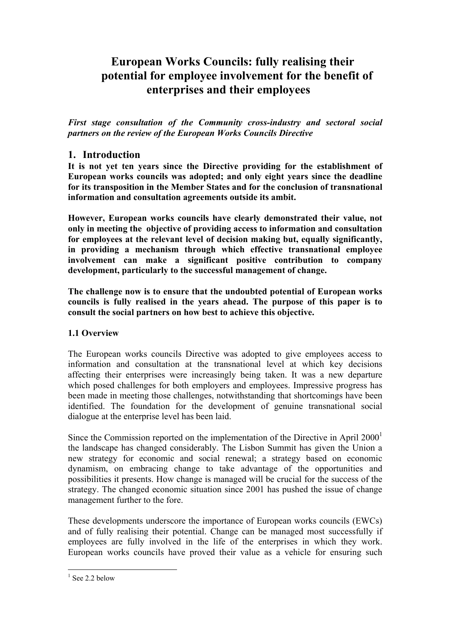# **European Works Councils: fully realising their potential for employee involvement for the benefit of enterprises and their employees**

*First stage consultation of the Community cross-industry and sectoral social partners on the review of the European Works Councils Directive* 

### **1. Introduction**

**It is not yet ten years since the Directive providing for the establishment of European works councils was adopted; and only eight years since the deadline for its transposition in the Member States and for the conclusion of transnational information and consultation agreements outside its ambit.** 

**However, European works councils have clearly demonstrated their value, not only in meeting the objective of providing access to information and consultation for employees at the relevant level of decision making but, equally significantly, in providing a mechanism through which effective transnational employee involvement can make a significant positive contribution to company development, particularly to the successful management of change.** 

**The challenge now is to ensure that the undoubted potential of European works councils is fully realised in the years ahead. The purpose of this paper is to consult the social partners on how best to achieve this objective.** 

### **1.1 Overview**

The European works councils Directive was adopted to give employees access to information and consultation at the transnational level at which key decisions affecting their enterprises were increasingly being taken. It was a new departure which posed challenges for both employers and employees. Impressive progress has been made in meeting those challenges, notwithstanding that shortcomings have been identified. The foundation for the development of genuine transnational social dialogue at the enterprise level has been laid.

Since the Commission reported on the implementation of the Directive in April  $2000<sup>1</sup>$ the landscape has changed considerably. The Lisbon Summit has given the Union a new strategy for economic and social renewal; a strategy based on economic dynamism, on embracing change to take advantage of the opportunities and possibilities it presents. How change is managed will be crucial for the success of the strategy. The changed economic situation since 2001 has pushed the issue of change management further to the fore.

These developments underscore the importance of European works councils (EWCs) and of fully realising their potential. Change can be managed most successfully if employees are fully involved in the life of the enterprises in which they work. European works councils have proved their value as a vehicle for ensuring such

<span id="page-0-0"></span> $\frac{1}{1}$  See 2.2 below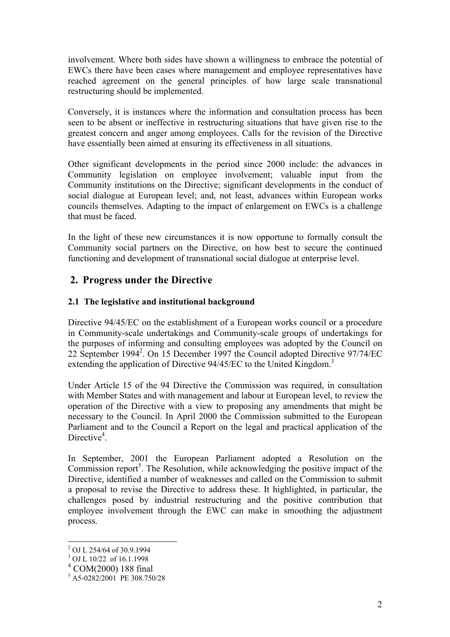involvement. Where both sides have shown a willingness to embrace the potential of EWCs there have been cases where management and employee representatives have reached agreement on the general principles of how large scale transnational restructuring should be implemented.

Conversely, it is instances where the information and consultation process has been seen to be absent or ineffective in restructuring situations that have given rise to the greatest concern and anger among employees. Calls for the revision of the Directive have essentially been aimed at ensuring its effectiveness in all situations.

Other significant developments in the period since 2000 include: the advances in Community legislation on employee involvement; valuable input from the Community institutions on the Directive; significant developments in the conduct of social dialogue at European level; and, not least, advances within European works councils themselves. Adapting to the impact of enlargement on EWCs is a challenge that must be faced.

In the light of these new circumstances it is now opportune to formally consult the Community social partners on the Directive, on how best to secure the continued functioning and development of transnational social dialogue at enterprise level.

# **2. Progress under the Directive**

### **2.1 The legislative and institutional background**

Directive 94/45/EC on the establishment of a European works council or a procedure in Community-scale undertakings and Community-scale groups of undertakings for the purposes of informing and consulting employees was adopted by the Council on [2](#page-1-0)2 September 1994<sup>2</sup>. On 15 December 1997 the Council adopted Directive 97/74/EC extendingthe application of Directive 94/45/EC to the United Kingdom.<sup>3</sup>

Under Article 15 of the 94 Directive the Commission was required, in consultation with Member States and with management and labour at European level, to review the operation of the Directive with a view to proposing any amendments that might be necessary to the Council. In April 2000 the Commission submitted to the European Parliament and to the Council a Report on the legal and practical application of the Directive<sup>[4](#page-1-2)</sup>.

In September, 2001 the European Parliament adopted a Resolution on the Commission report<sup>5</sup>[.](#page-1-3) The Resolution, while acknowledging the positive impact of the Directive, identified a number of weaknesses and called on the Commission to submit a proposal to revise the Directive to address these. It highlighted, in particular, the challenges posed by industrial restructuring and the positive contribution that employee involvement through the EWC can make in smoothing the adjustment process.

 $\overline{a}$ 

<span id="page-1-0"></span> $^2$  OJ L 254/64 of 30.9.1994<br> $^3$  OJ L 10/22 of 16.1.1998

<span id="page-1-1"></span>

<span id="page-1-2"></span><sup>4</sup> COM(2000) 188 final

<span id="page-1-3"></span><sup>5</sup> A5-0282/2001 PE 308.750/28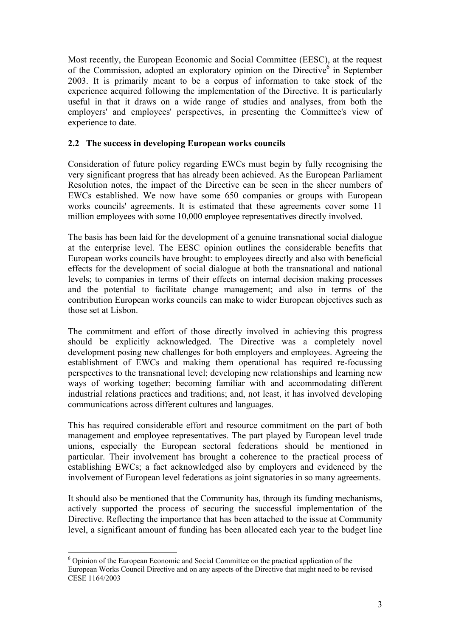Most recently, the European Economic and Social Committee (EESC), at the request of the Commission, adopted an exploratory opinion on the Directive<sup> $6$ </sup> in September 2003. It is primarily meant to be a corpus of information to take stock of the experience acquired following the implementation of the Directive. It is particularly useful in that it draws on a wide range of studies and analyses, from both the employers' and employees' perspectives, in presenting the Committee's view of experience to date.

### **2.2 The success in developing European works councils**

Consideration of future policy regarding EWCs must begin by fully recognising the very significant progress that has already been achieved. As the European Parliament Resolution notes, the impact of the Directive can be seen in the sheer numbers of EWCs established. We now have some 650 companies or groups with European works councils' agreements. It is estimated that these agreements cover some 11 million employees with some 10,000 employee representatives directly involved.

The basis has been laid for the development of a genuine transnational social dialogue at the enterprise level. The EESC opinion outlines the considerable benefits that European works councils have brought: to employees directly and also with beneficial effects for the development of social dialogue at both the transnational and national levels; to companies in terms of their effects on internal decision making processes and the potential to facilitate change management; and also in terms of the contribution European works councils can make to wider European objectives such as those set at Lisbon.

The commitment and effort of those directly involved in achieving this progress should be explicitly acknowledged. The Directive was a completely novel development posing new challenges for both employers and employees. Agreeing the establishment of EWCs and making them operational has required re-focussing perspectives to the transnational level; developing new relationships and learning new ways of working together; becoming familiar with and accommodating different industrial relations practices and traditions; and, not least, it has involved developing communications across different cultures and languages.

This has required considerable effort and resource commitment on the part of both management and employee representatives. The part played by European level trade unions, especially the European sectoral federations should be mentioned in particular. Their involvement has brought a coherence to the practical process of establishing EWCs; a fact acknowledged also by employers and evidenced by the involvement of European level federations as joint signatories in so many agreements.

It should also be mentioned that the Community has, through its funding mechanisms, actively supported the process of securing the successful implementation of the Directive. Reflecting the importance that has been attached to the issue at Community level, a significant amount of funding has been allocated each year to the budget line

 $\overline{a}$ 

<span id="page-2-0"></span><sup>&</sup>lt;sup>6</sup> Opinion of the European Economic and Social Committee on the practical application of the European Works Council Directive and on any aspects of the Directive that might need to be revised CESE 1164/2003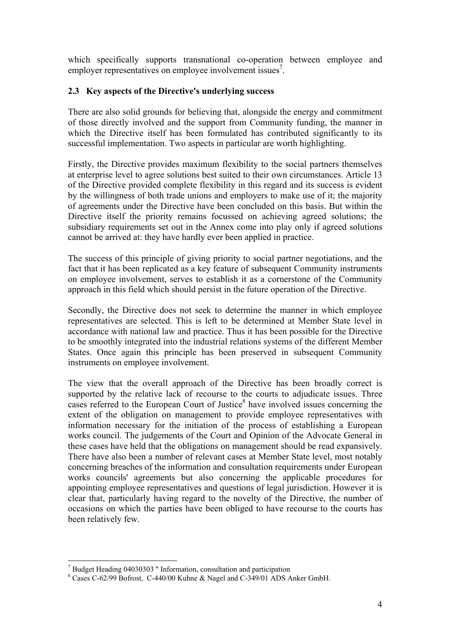which specifically supports transnational co-operation between employee and employer representatives on employee involvement issues<sup>[7](#page-3-0)</sup>.

#### **2.3 Key aspects of the Directive's underlying success**

There are also solid grounds for believing that, alongside the energy and commitment of those directly involved and the support from Community funding, the manner in which the Directive itself has been formulated has contributed significantly to its successful implementation. Two aspects in particular are worth highlighting.

Firstly, the Directive provides maximum flexibility to the social partners themselves at enterprise level to agree solutions best suited to their own circumstances. Article 13 of the Directive provided complete flexibility in this regard and its success is evident by the willingness of both trade unions and employers to make use of it; the majority of agreements under the Directive have been concluded on this basis. But within the Directive itself the priority remains focussed on achieving agreed solutions; the subsidiary requirements set out in the Annex come into play only if agreed solutions cannot be arrived at: they have hardly ever been applied in practice.

The success of this principle of giving priority to social partner negotiations, and the fact that it has been replicated as a key feature of subsequent Community instruments on employee involvement, serves to establish it as a cornerstone of the Community approach in this field which should persist in the future operation of the Directive.

Secondly, the Directive does not seek to determine the manner in which employee representatives are selected. This is left to be determined at Member State level in accordance with national law and practice. Thus it has been possible for the Directive to be smoothly integrated into the industrial relations systems of the different Member States. Once again this principle has been preserved in subsequent Community instruments on employee involvement.

The view that the overall approach of the Directive has been broadly correct is supported by the relative lack of recourse to the courts to adjudicate issues. Three cases referred to the European Court of Justice $\delta$  have involved issues concerning the extent of the obligation on management to provide employee representatives with information necessary for the initiation of the process of establishing a European works council. The judgements of the Court and Opinion of the Advocate General in these cases have held that the obligations on management should be read expansively. There have also been a number of relevant cases at Member State level, most notably concerning breaches of the information and consultation requirements under European works councils' agreements but also concerning the applicable procedures for appointing employee representatives and questions of legal jurisdiction. However it is clear that, particularly having regard to the novelty of the Directive, the number of occasions on which the parties have been obliged to have recourse to the courts has been relatively few.

<span id="page-3-0"></span> $\overline{a}$ <sup>7</sup> Budget Heading 04030303 " Information, consultation and participation  $^{8}$  Cases C 62/00 Bofreet, C 440/00 Kubno & Nagal and C 340/01 A DS A

<span id="page-3-1"></span>Cases C-62/99 Bofrost, C-440/00 Kuhne & Nagel and C-349/01 ADS Anker GmbH.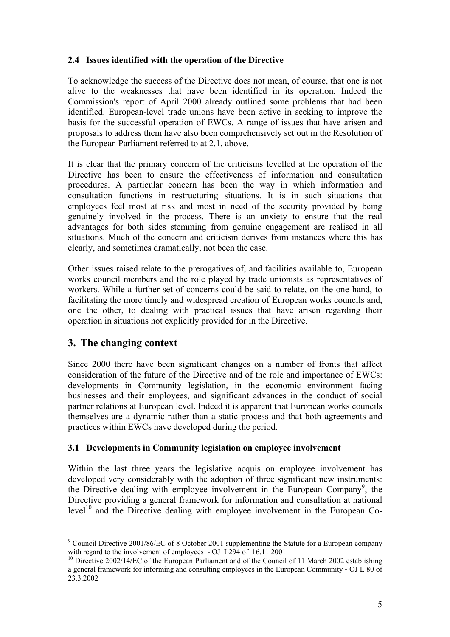### **2.4 Issues identified with the operation of the Directive**

To acknowledge the success of the Directive does not mean, of course, that one is not alive to the weaknesses that have been identified in its operation. Indeed the Commission's report of April 2000 already outlined some problems that had been identified. European-level trade unions have been active in seeking to improve the basis for the successful operation of EWCs. A range of issues that have arisen and proposals to address them have also been comprehensively set out in the Resolution of the European Parliament referred to at 2.1, above.

It is clear that the primary concern of the criticisms levelled at the operation of the Directive has been to ensure the effectiveness of information and consultation procedures. A particular concern has been the way in which information and consultation functions in restructuring situations. It is in such situations that employees feel most at risk and most in need of the security provided by being genuinely involved in the process. There is an anxiety to ensure that the real advantages for both sides stemming from genuine engagement are realised in all situations. Much of the concern and criticism derives from instances where this has clearly, and sometimes dramatically, not been the case.

Other issues raised relate to the prerogatives of, and facilities available to, European works council members and the role played by trade unionists as representatives of workers. While a further set of concerns could be said to relate, on the one hand, to facilitating the more timely and widespread creation of European works councils and, one the other, to dealing with practical issues that have arisen regarding their operation in situations not explicitly provided for in the Directive.

# **3. The changing context**

Since 2000 there have been significant changes on a number of fronts that affect consideration of the future of the Directive and of the role and importance of EWCs: developments in Community legislation, in the economic environment facing businesses and their employees, and significant advances in the conduct of social partner relations at European level. Indeed it is apparent that European works councils themselves are a dynamic rather than a static process and that both agreements and practices within EWCs have developed during the period.

### **3.1 Developments in Community legislation on employee involvement**

Within the last three years the legislative acquis on employee involvement has developed very considerably with the adoption of three significant new instruments: the Directive dealing with employee involvement in the European Company<sup>[9](#page-4-0)</sup>, the Directive providing a general framework for information and consultation at national  $level<sup>10</sup>$  and the Directive dealing with employee involvement in the European Co-

<span id="page-4-0"></span> $\overline{a}$ <sup>9</sup> Council Directive 2001/86/EC of 8 October 2001 supplementing the Statute for a European company with regard to the involvement of employees - OJ L294 of  $16.11.2001$ <br><sup>10</sup> Directive 2002/14/EC of the European Parliament and of the Council of 11 March 2002 establishing

<span id="page-4-1"></span>a general framework for informing and consulting employees in the European Community - OJ L 80 of 23.3.2002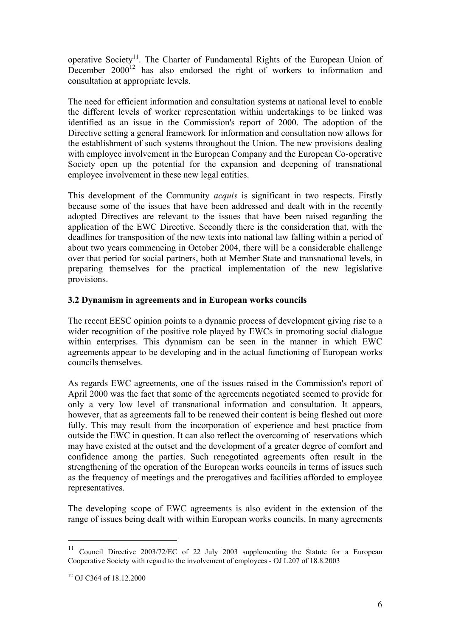operative Society<sup>11</sup>. The Charter of Fundamental Rights of the European Union of December  $2000^{12}$  has also endorsed the right of workers to information and consultation at appropriate levels.

The need for efficient information and consultation systems at national level to enable the different levels of worker representation within undertakings to be linked was identified as an issue in the Commission's report of 2000. The adoption of the Directive setting a general framework for information and consultation now allows for the establishment of such systems throughout the Union. The new provisions dealing with employee involvement in the European Company and the European Co-operative Society open up the potential for the expansion and deepening of transnational employee involvement in these new legal entities.

This development of the Community *acquis* is significant in two respects. Firstly because some of the issues that have been addressed and dealt with in the recently adopted Directives are relevant to the issues that have been raised regarding the application of the EWC Directive. Secondly there is the consideration that, with the deadlines for transposition of the new texts into national law falling within a period of about two years commencing in October 2004, there will be a considerable challenge over that period for social partners, both at Member State and transnational levels, in preparing themselves for the practical implementation of the new legislative provisions.

### **3.2 Dynamism in agreements and in European works councils**

The recent EESC opinion points to a dynamic process of development giving rise to a wider recognition of the positive role played by EWCs in promoting social dialogue within enterprises. This dynamism can be seen in the manner in which EWC agreements appear to be developing and in the actual functioning of European works councils themselves.

As regards EWC agreements, one of the issues raised in the Commission's report of April 2000 was the fact that some of the agreements negotiated seemed to provide for only a very low level of transnational information and consultation. It appears, however, that as agreements fall to be renewed their content is being fleshed out more fully. This may result from the incorporation of experience and best practice from outside the EWC in question. It can also reflect the overcoming of reservations which may have existed at the outset and the development of a greater degree of comfort and confidence among the parties. Such renegotiated agreements often result in the strengthening of the operation of the European works councils in terms of issues such as the frequency of meetings and the prerogatives and facilities afforded to employee representatives.

The developing scope of EWC agreements is also evident in the extension of the range of issues being dealt with within European works councils. In many agreements

 $\overline{a}$ 

<span id="page-5-0"></span><sup>11</sup> Council Directive 2003/72/EC of 22 July 2003 supplementing the Statute for a European Cooperative Society with regard to the involvement of employees - OJ L207 of 18.8.2003

<span id="page-5-1"></span><sup>12</sup> OJ C364 of 18.12.2000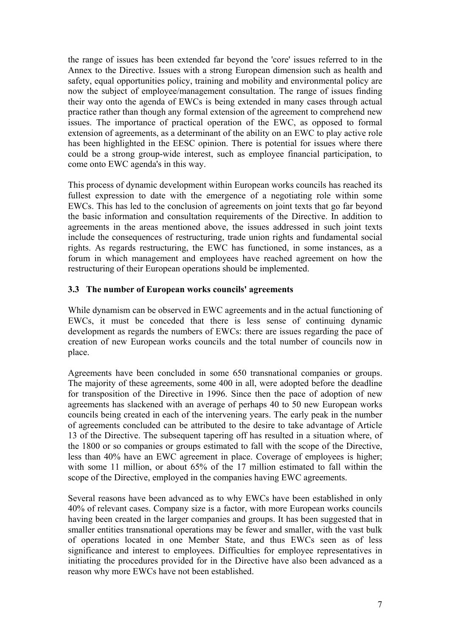the range of issues has been extended far beyond the 'core' issues referred to in the Annex to the Directive. Issues with a strong European dimension such as health and safety, equal opportunities policy, training and mobility and environmental policy are now the subject of employee/management consultation. The range of issues finding their way onto the agenda of EWCs is being extended in many cases through actual practice rather than though any formal extension of the agreement to comprehend new issues. The importance of practical operation of the EWC, as opposed to formal extension of agreements, as a determinant of the ability on an EWC to play active role has been highlighted in the EESC opinion. There is potential for issues where there could be a strong group-wide interest, such as employee financial participation, to come onto EWC agenda's in this way.

This process of dynamic development within European works councils has reached its fullest expression to date with the emergence of a negotiating role within some EWCs. This has led to the conclusion of agreements on joint texts that go far beyond the basic information and consultation requirements of the Directive. In addition to agreements in the areas mentioned above, the issues addressed in such joint texts include the consequences of restructuring, trade union rights and fundamental social rights. As regards restructuring, the EWC has functioned, in some instances, as a forum in which management and employees have reached agreement on how the restructuring of their European operations should be implemented.

### **3.3 The number of European works councils' agreements**

While dynamism can be observed in EWC agreements and in the actual functioning of EWCs, it must be conceded that there is less sense of continuing dynamic development as regards the numbers of EWCs: there are issues regarding the pace of creation of new European works councils and the total number of councils now in place.

Agreements have been concluded in some 650 transnational companies or groups. The majority of these agreements, some 400 in all, were adopted before the deadline for transposition of the Directive in 1996. Since then the pace of adoption of new agreements has slackened with an average of perhaps 40 to 50 new European works councils being created in each of the intervening years. The early peak in the number of agreements concluded can be attributed to the desire to take advantage of Article 13 of the Directive. The subsequent tapering off has resulted in a situation where, of the 1800 or so companies or groups estimated to fall with the scope of the Directive, less than 40% have an EWC agreement in place. Coverage of employees is higher; with some 11 million, or about 65% of the 17 million estimated to fall within the scope of the Directive, employed in the companies having EWC agreements.

Several reasons have been advanced as to why EWCs have been established in only 40% of relevant cases. Company size is a factor, with more European works councils having been created in the larger companies and groups. It has been suggested that in smaller entities transnational operations may be fewer and smaller, with the vast bulk of operations located in one Member State, and thus EWCs seen as of less significance and interest to employees. Difficulties for employee representatives in initiating the procedures provided for in the Directive have also been advanced as a reason why more EWCs have not been established.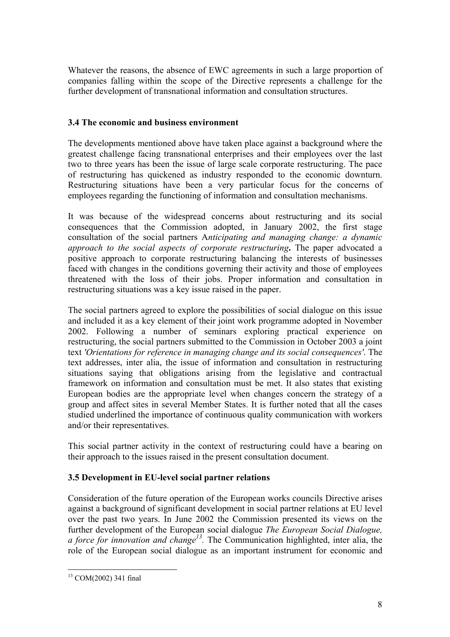Whatever the reasons, the absence of EWC agreements in such a large proportion of companies falling within the scope of the Directive represents a challenge for the further development of transnational information and consultation structures.

### **3.4 The economic and business environment**

The developments mentioned above have taken place against a background where the greatest challenge facing transnational enterprises and their employees over the last two to three years has been the issue of large scale corporate restructuring. The pace of restructuring has quickened as industry responded to the economic downturn. Restructuring situations have been a very particular focus for the concerns of employees regarding the functioning of information and consultation mechanisms.

It was because of the widespread concerns about restructuring and its social consequences that the Commission adopted, in January 2002, the first stage consultation of the social partners A*nticipating and managing change: a dynamic approach to the social aspects of corporate restructuring***.** The paper advocated a positive approach to corporate restructuring balancing the interests of businesses faced with changes in the conditions governing their activity and those of employees threatened with the loss of their jobs. Proper information and consultation in restructuring situations was a key issue raised in the paper.

The social partners agreed to explore the possibilities of social dialogue on this issue and included it as a key element of their joint work programme adopted in November 2002. Following a number of seminars exploring practical experience on restructuring, the social partners submitted to the Commission in October 2003 a joint text *'Orientations for reference in managing change and its social consequences'*. The text addresses, inter alia, the issue of information and consultation in restructuring situations saying that obligations arising from the legislative and contractual framework on information and consultation must be met. It also states that existing European bodies are the appropriate level when changes concern the strategy of a group and affect sites in several Member States. It is further noted that all the cases studied underlined the importance of continuous quality communication with workers and/or their representatives.

This social partner activity in the context of restructuring could have a bearing on their approach to the issues raised in the present consultation document.

### **3.5 Development in EU-level social partner relations**

Consideration of the future operation of the European works councils Directive arises against a background of significant development in social partner relations at EU level over the past two years. In June 2002 the Commission presented its views on the further development of the European social dialogue *The European Social Dialogue, a force for innovation and change[13.](#page-7-0)* The Communication highlighted, inter alia, the role of the European social dialogue as an important instrument for economic and

<span id="page-7-0"></span> $\overline{a}$ 13 COM(2002) 341 final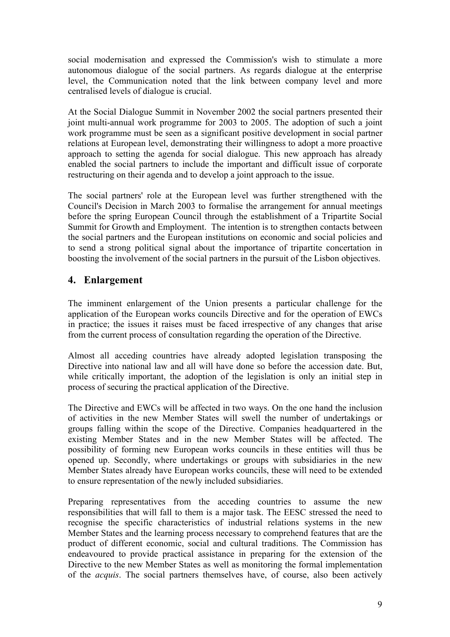social modernisation and expressed the Commission's wish to stimulate a more autonomous dialogue of the social partners. As regards dialogue at the enterprise level, the Communication noted that the link between company level and more centralised levels of dialogue is crucial.

At the Social Dialogue Summit in November 2002 the social partners presented their joint multi-annual work programme for 2003 to 2005. The adoption of such a joint work programme must be seen as a significant positive development in social partner relations at European level, demonstrating their willingness to adopt a more proactive approach to setting the agenda for social dialogue. This new approach has already enabled the social partners to include the important and difficult issue of corporate restructuring on their agenda and to develop a joint approach to the issue.

The social partners' role at the European level was further strengthened with the Council's Decision in March 2003 to formalise the arrangement for annual meetings before the spring European Council through the establishment of a Tripartite Social Summit for Growth and Employment. The intention is to strengthen contacts between the social partners and the European institutions on economic and social policies and to send a strong political signal about the importance of tripartite concertation in boosting the involvement of the social partners in the pursuit of the Lisbon objectives.

# **4. Enlargement**

The imminent enlargement of the Union presents a particular challenge for the application of the European works councils Directive and for the operation of EWCs in practice; the issues it raises must be faced irrespective of any changes that arise from the current process of consultation regarding the operation of the Directive.

Almost all acceding countries have already adopted legislation transposing the Directive into national law and all will have done so before the accession date. But, while critically important, the adoption of the legislation is only an initial step in process of securing the practical application of the Directive.

The Directive and EWCs will be affected in two ways. On the one hand the inclusion of activities in the new Member States will swell the number of undertakings or groups falling within the scope of the Directive. Companies headquartered in the existing Member States and in the new Member States will be affected. The possibility of forming new European works councils in these entities will thus be opened up. Secondly, where undertakings or groups with subsidiaries in the new Member States already have European works councils, these will need to be extended to ensure representation of the newly included subsidiaries.

Preparing representatives from the acceding countries to assume the new responsibilities that will fall to them is a major task. The EESC stressed the need to recognise the specific characteristics of industrial relations systems in the new Member States and the learning process necessary to comprehend features that are the product of different economic, social and cultural traditions. The Commission has endeavoured to provide practical assistance in preparing for the extension of the Directive to the new Member States as well as monitoring the formal implementation of the *acquis*. The social partners themselves have, of course, also been actively